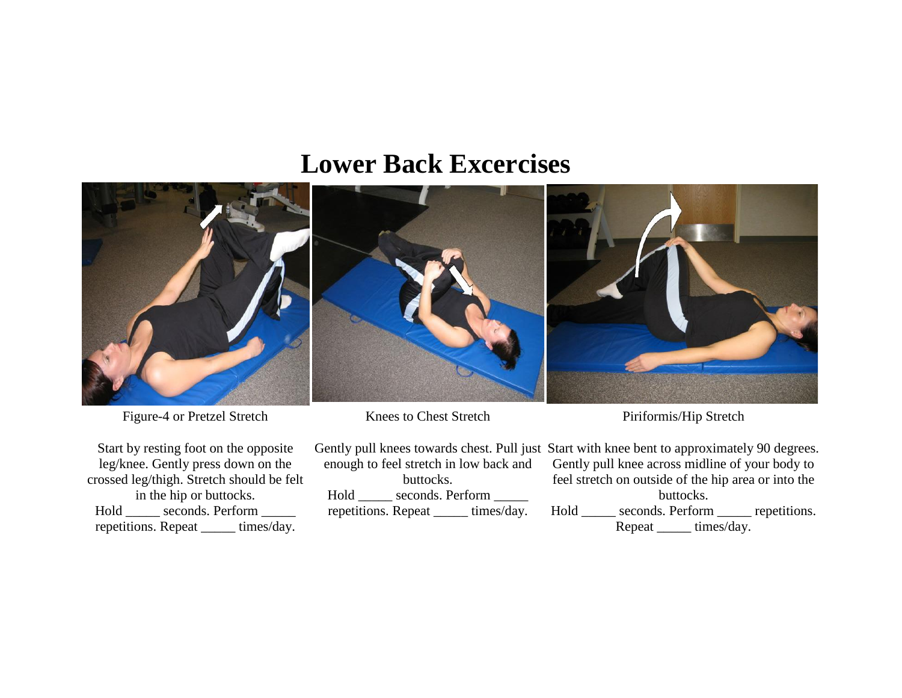## **Lower Back Excercises**



Figure-4 or Pretzel Stretch

Start by resting foot on the opposite leg/knee. Gently press down on the crossed leg/thigh. Stretch should be felt in the hip or buttocks. Hold \_\_\_\_\_ seconds. Perform \_\_\_\_\_ repetitions. Repeat \_\_\_\_\_ times/day.

Knees to Chest Stretch

enough to feel stretch in low back and buttocks. Hold \_\_\_\_\_ seconds. Perform \_\_\_\_\_ repetitions. Repeat \_\_\_\_\_ times/day.

Piriformis/Hip Stretch

Gently pull knees towards chest. Pull just Start with knee bent to approximately 90 degrees. Gently pull knee across midline of your body to feel stretch on outside of the hip area or into the buttocks. Hold \_\_\_\_\_ seconds. Perform \_\_\_\_\_ repetitions. Repeat \_\_\_\_\_\_ times/day.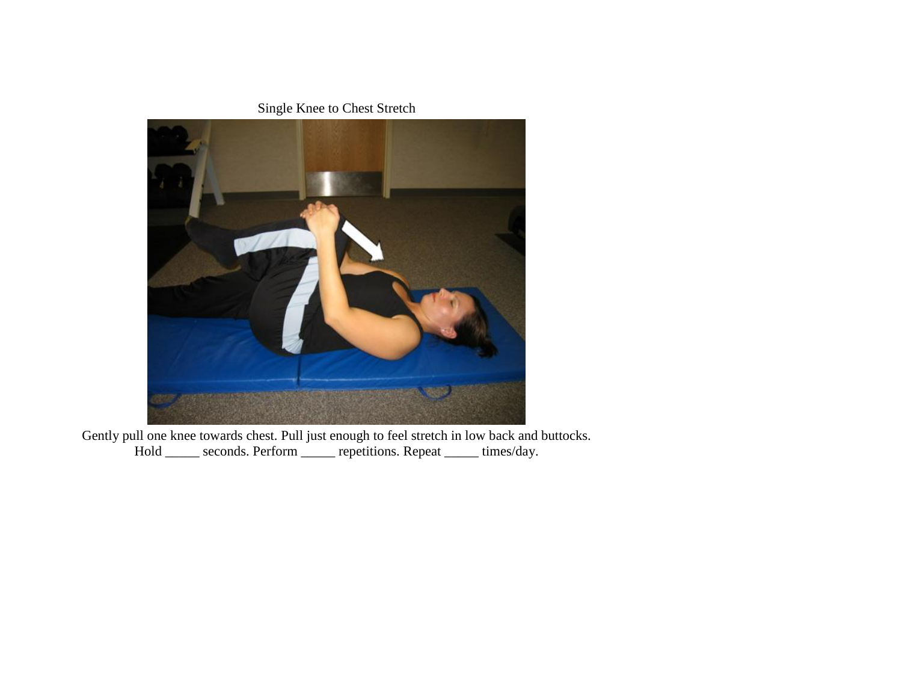Single Knee to Chest Stretch



Gently pull one knee towards chest. Pull just enough to feel stretch in low back and buttocks. Hold \_\_\_\_\_ seconds. Perform \_\_\_\_\_ repetitions. Repeat \_\_\_\_\_ times/day.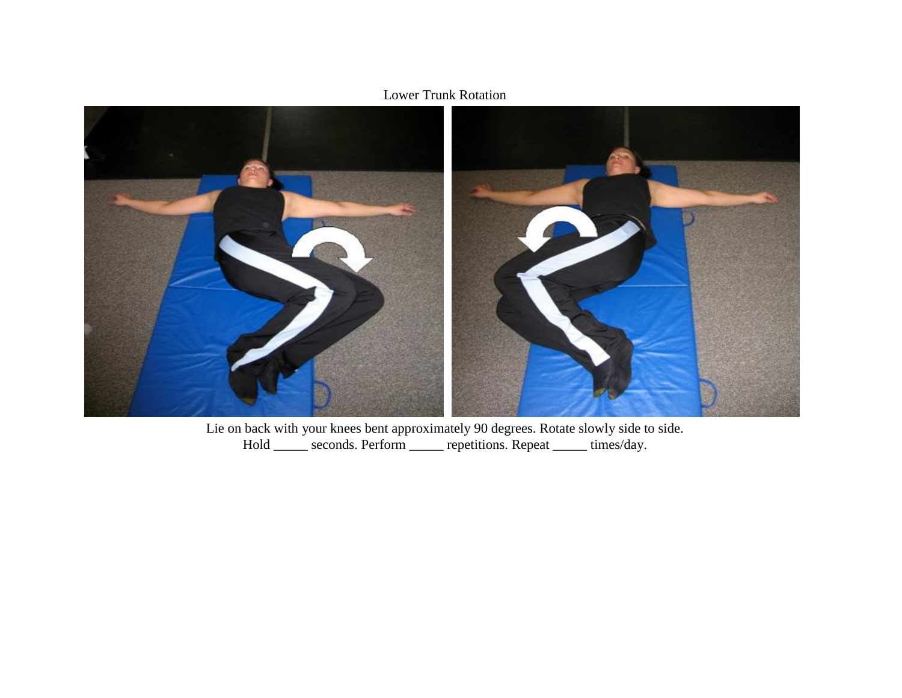



Lie on back with your knees bent approximately 90 degrees. Rotate slowly side to side. Hold \_\_\_\_\_ seconds. Perform \_\_\_\_\_ repetitions. Repeat \_\_\_\_\_ times/day.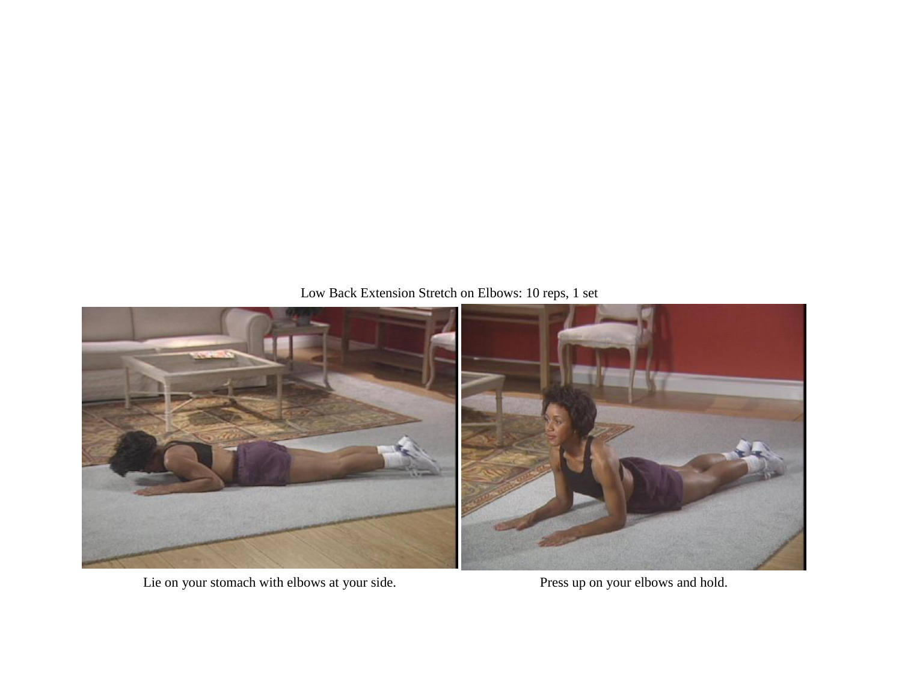## Low Back Extension Stretch on Elbows: 10 reps, 1 set



Lie on your stomach with elbows at your side. Press up on your elbows and hold.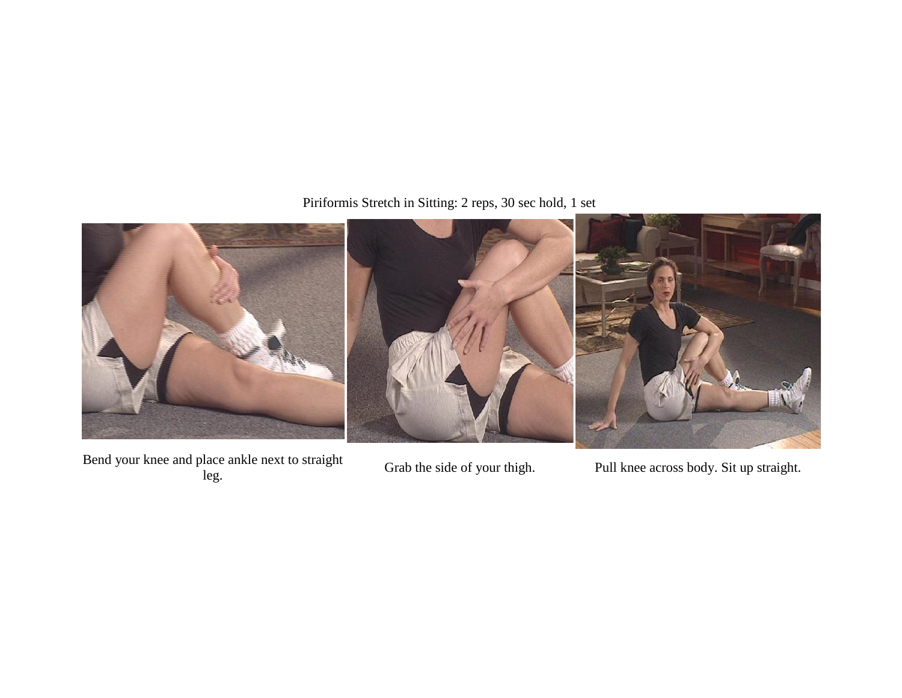Piriformis Stretch in Sitting: 2 reps, 30 sec hold, 1 set



Bend your knee and place ankle next to straight blace ankle next to straight Grab the side of your thigh. Pull knee across body. Sit up straight.<br>leg.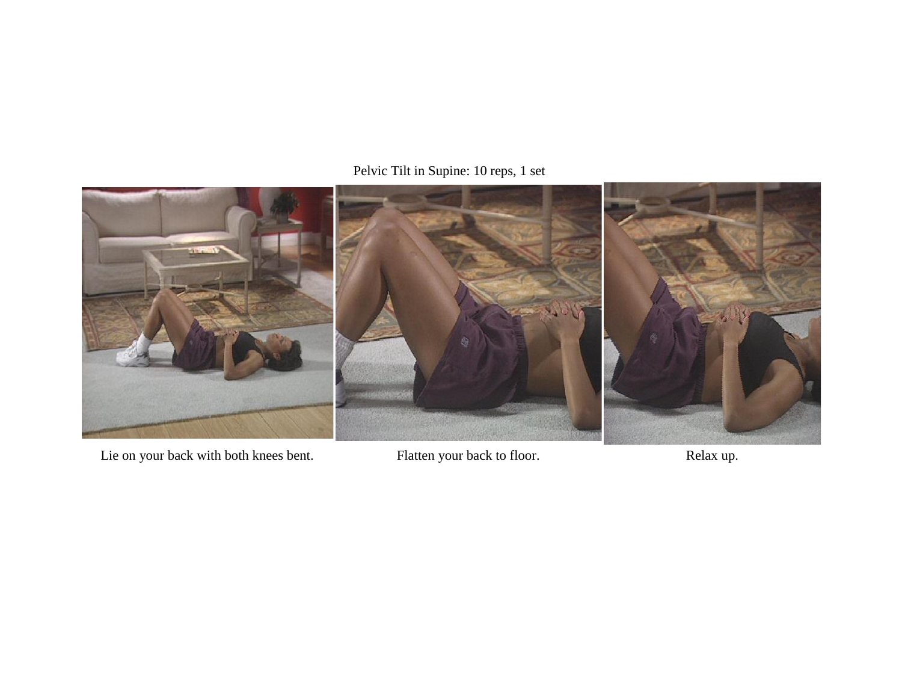## Pelvic Tilt in Supine: 10 reps, 1 set



Lie on your back with both knees bent. Flatten your back to floor. Relax up.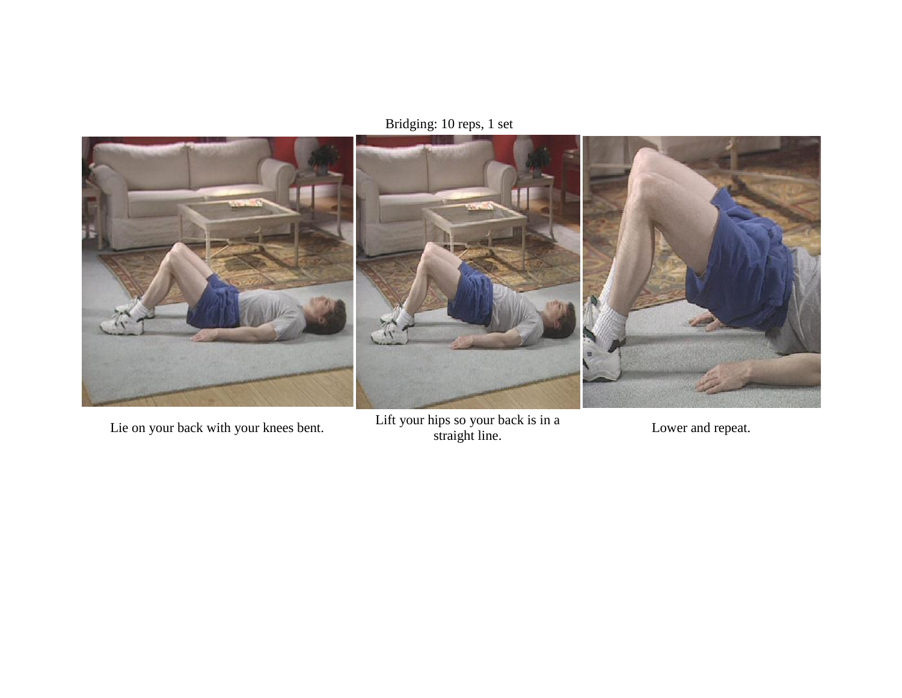Bridging: 10 reps, 1 set



Lie on your back with your knees bent. Lift your hips so your back is in a Lower and repeat.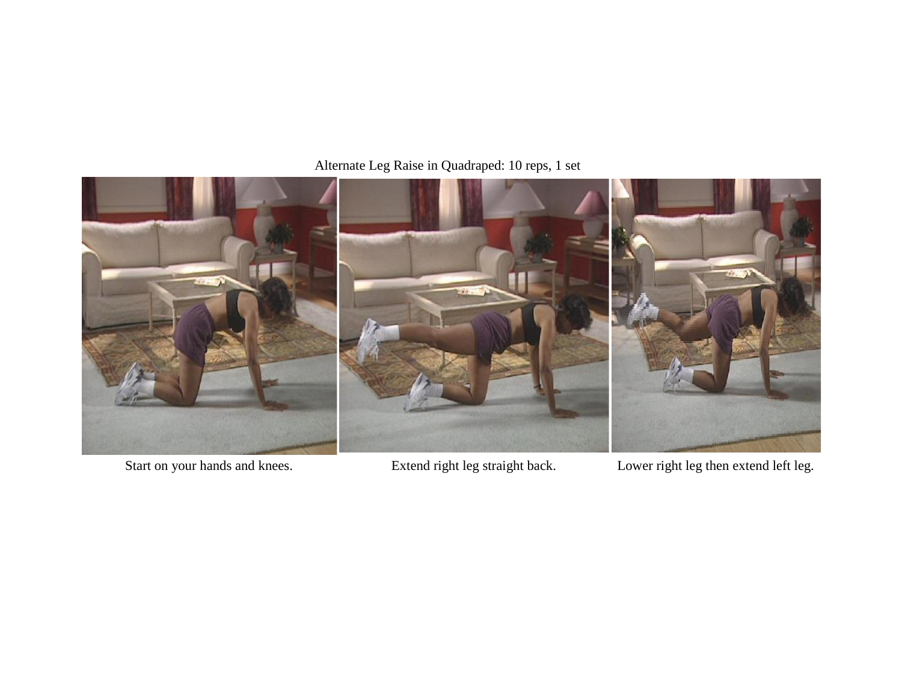Alternate Leg Raise in Quadraped: 10 reps, 1 set



Start on your hands and knees. Extend right leg straight back. Lower right leg then extend left leg.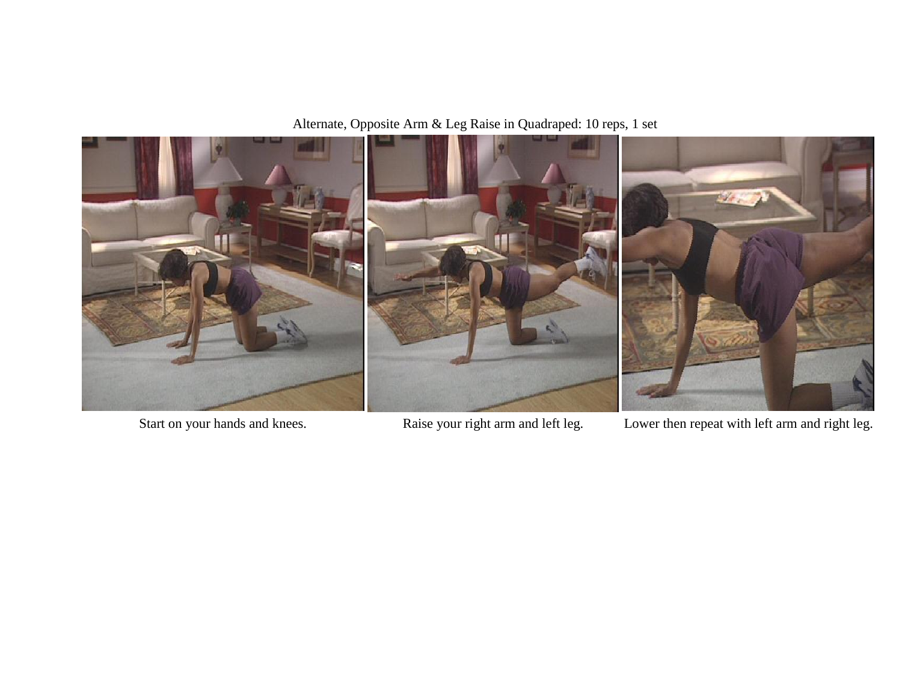Alternate, Opposite Arm & Leg Raise in Quadraped: 10 reps, 1 set



Start on your hands and knees. Raise your right arm and left leg. Lower then repeat with left arm and right leg.